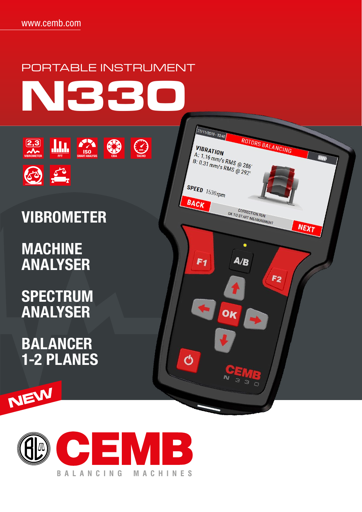

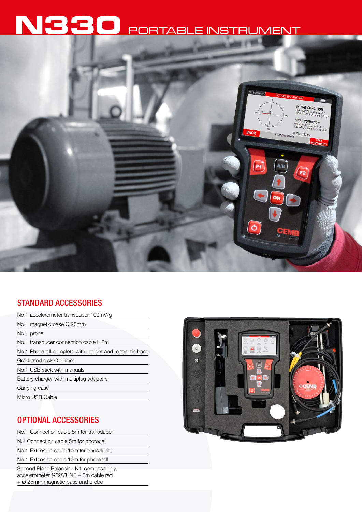# **N330** PORTABLE INSTRUMENT



## STANDARD ACCESSORIES

| No.1 accelerometer transducer 100mV/g                  |
|--------------------------------------------------------|
| No.1 magnetic base $\varnothing$ 25mm                  |
| No.1 probe                                             |
| No.1 transducer connection cable L 2m                  |
| No.1 Photocell complete with upright and magnetic base |
| Graduated disk Ø 96mm                                  |
| No.1 USB stick with manuals                            |
| Battery charger with multiplug adapters                |
| Carrying case                                          |
| Micro USB Cable                                        |

# OPTIONAL ACCESSORIES

No.1 Connection cable 5m for transducer N.1 Connection cable 5m for photocell No.1 Extension cable 10m for transducer No.1 Extension cable 10m for photocell Second Plane Balancing Kit, composed by: accelerometer ¼"28"UNF + 2m cable red + Ø 25mm magnetic base and probe

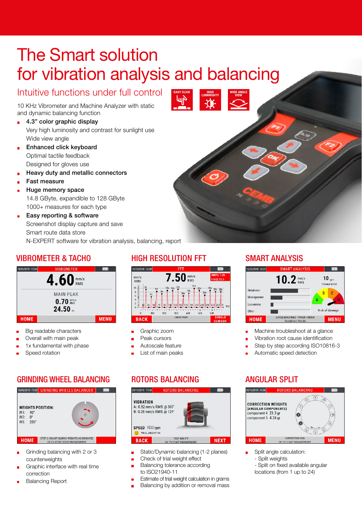# **The Smart solution** for vibration analysis and balancing

EASY CLICK<br>**Lum**inosity

# Intuitive functions under full control

10 KHz Vibrometer and Machine Analyzer with static and dynamic balancing function

- 4.3" color graphic display  $\blacksquare$ Very high luminosity and contrast for sunlight use Wide view angle
- Enhanced click keyboard  $\blacksquare$ Optimal tactile feedback Designed for gloves use
- Heavy duty and metallic connectors É
- Fast measure
- Huge memory space 14.8 GByte, expandible to 128 GByte 1000+ measures for each type
- Easy reporting & software  $\blacksquare$ Screenshot display capture and save Smart route data store

N-EXPERT software for vibration analysis, balancing, report

## VIBROMETER & TACHO



- Big readable characters
- Overall with main peak ÷,
- 1x fundamental with phase
- Speed rotation

# GRINDING WHEEL BALANCING



- Grinding balancing with 2 or 3 counterweights
- Graphic interface with real time correction
- Balancing Report

# HIGH RESOLUTION FFT SMART ANALYSIS



- Graphic zoom
- Peak cursors
- Autoscale feature
- List of main peaks

## ROTORS BALANCING ANGULAR SPLIT



- Static/Dynamic balancing (1-2 planes)
- Check of trial weight effect
- Balancing tolerance according to ISO21940-11
- Estimate of trial weight calculation in grams
- Balancing by addition or removal mass



- Machine troubleshoot at a glance
- Vibration root cause identification L.
- Step by step according ISO10816-3
- Automatic speed detection



- Split angle calculation: - Split weights
	- Split on fixed available angular locations (from 1 up to 24)